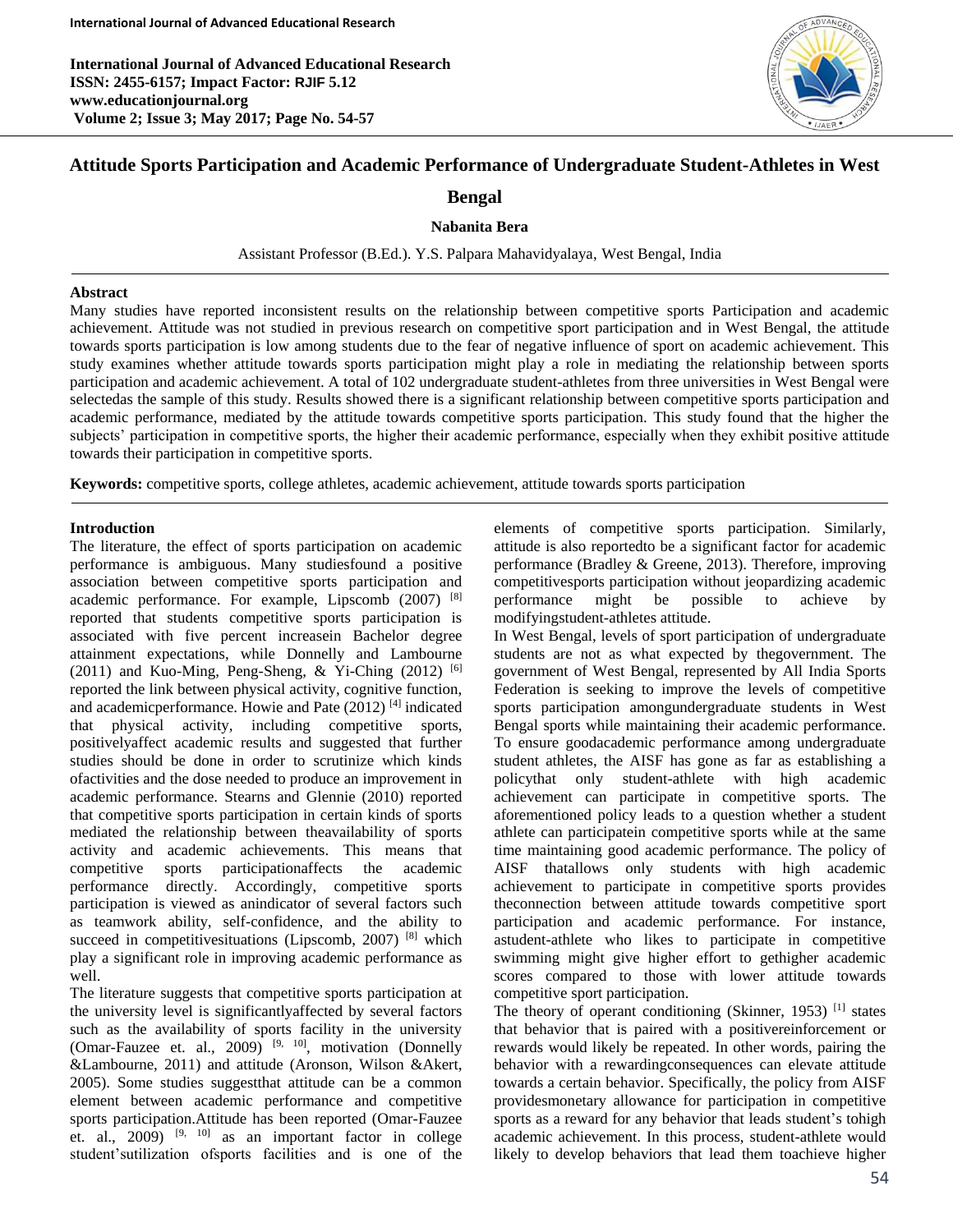**International Journal of Advanced Educational Research ISSN: 2455-6157; Impact Factor: RJIF 5.12 www.educationjournal.org Volume 2; Issue 3; May 2017; Page No. 54-57**



# **Attitude Sports Participation and Academic Performance of Undergraduate Student-Athletes in West**

# **Bengal**

## **Nabanita Bera**

Assistant Professor (B.Ed.). Y.S. Palpara Mahavidyalaya, West Bengal, India

### **Abstract**

Many studies have reported inconsistent results on the relationship between competitive sports Participation and academic achievement. Attitude was not studied in previous research on competitive sport participation and in West Bengal, the attitude towards sports participation is low among students due to the fear of negative influence of sport on academic achievement. This study examines whether attitude towards sports participation might play a role in mediating the relationship between sports participation and academic achievement. A total of 102 undergraduate student-athletes from three universities in West Bengal were selectedas the sample of this study. Results showed there is a significant relationship between competitive sports participation and academic performance, mediated by the attitude towards competitive sports participation. This study found that the higher the subjects' participation in competitive sports, the higher their academic performance, especially when they exhibit positive attitude towards their participation in competitive sports.

**Keywords:** competitive sports, college athletes, academic achievement, attitude towards sports participation

## **Introduction**

Γ

The literature, the effect of sports participation on academic performance is ambiguous. Many studiesfound a positive association between competitive sports participation and academic performance. For example, Lipscomb (2007) [8] reported that students competitive sports participation is associated with five percent increasein Bachelor degree attainment expectations, while Donnelly and Lambourne (2011) and Kuo-Ming, Peng-Sheng, & Yi-Ching (2012)  $[6]$ reported the link between physical activity, cognitive function, and academicperformance. Howie and Pate (2012) [4] indicated that physical activity, including competitive sports, positivelyaffect academic results and suggested that further studies should be done in order to scrutinize which kinds ofactivities and the dose needed to produce an improvement in academic performance. Stearns and Glennie (2010) reported that competitive sports participation in certain kinds of sports mediated the relationship between theavailability of sports activity and academic achievements. This means that competitive sports participationaffects the academic performance directly. Accordingly, competitive sports participation is viewed as anindicator of several factors such as teamwork ability, self-confidence, and the ability to succeed in competitivesituations (Lipscomb, 2007)<sup>[8]</sup> which play a significant role in improving academic performance as well.

The literature suggests that competitive sports participation at the university level is significantlyaffected by several factors such as the availability of sports facility in the university (Omar-Fauzee et. al., 2009)<sup>[9, 10]</sup>, motivation (Donnelly &Lambourne, 2011) and attitude (Aronson, Wilson &Akert, 2005). Some studies suggestthat attitude can be a common element between academic performance and competitive sports participation.Attitude has been reported (Omar-Fauzee et. al.,  $2009$ )  $[9, 10]$  as an important factor in college student'sutilization ofsports facilities and is one of the

elements of competitive sports participation. Similarly, attitude is also reportedto be a significant factor for academic performance (Bradley & Greene, 2013). Therefore, improving competitivesports participation without jeopardizing academic performance might be possible to achieve by modifyingstudent-athletes attitude.

In West Bengal, levels of sport participation of undergraduate students are not as what expected by thegovernment. The government of West Bengal, represented by All India Sports Federation is seeking to improve the levels of competitive sports participation amongundergraduate students in West Bengal sports while maintaining their academic performance. To ensure goodacademic performance among undergraduate student athletes, the AISF has gone as far as establishing a policythat only student-athlete with high academic achievement can participate in competitive sports. The aforementioned policy leads to a question whether a student athlete can participatein competitive sports while at the same time maintaining good academic performance. The policy of AISF thatallows only students with high academic achievement to participate in competitive sports provides theconnection between attitude towards competitive sport participation and academic performance. For instance, astudent-athlete who likes to participate in competitive swimming might give higher effort to gethigher academic scores compared to those with lower attitude towards competitive sport participation.

The theory of operant conditioning (Skinner, 1953)<sup>[1]</sup> states that behavior that is paired with a positivereinforcement or rewards would likely be repeated. In other words, pairing the behavior with a rewardingconsequences can elevate attitude towards a certain behavior. Specifically, the policy from AISF providesmonetary allowance for participation in competitive sports as a reward for any behavior that leads student's tohigh academic achievement. In this process, student-athlete would likely to develop behaviors that lead them toachieve higher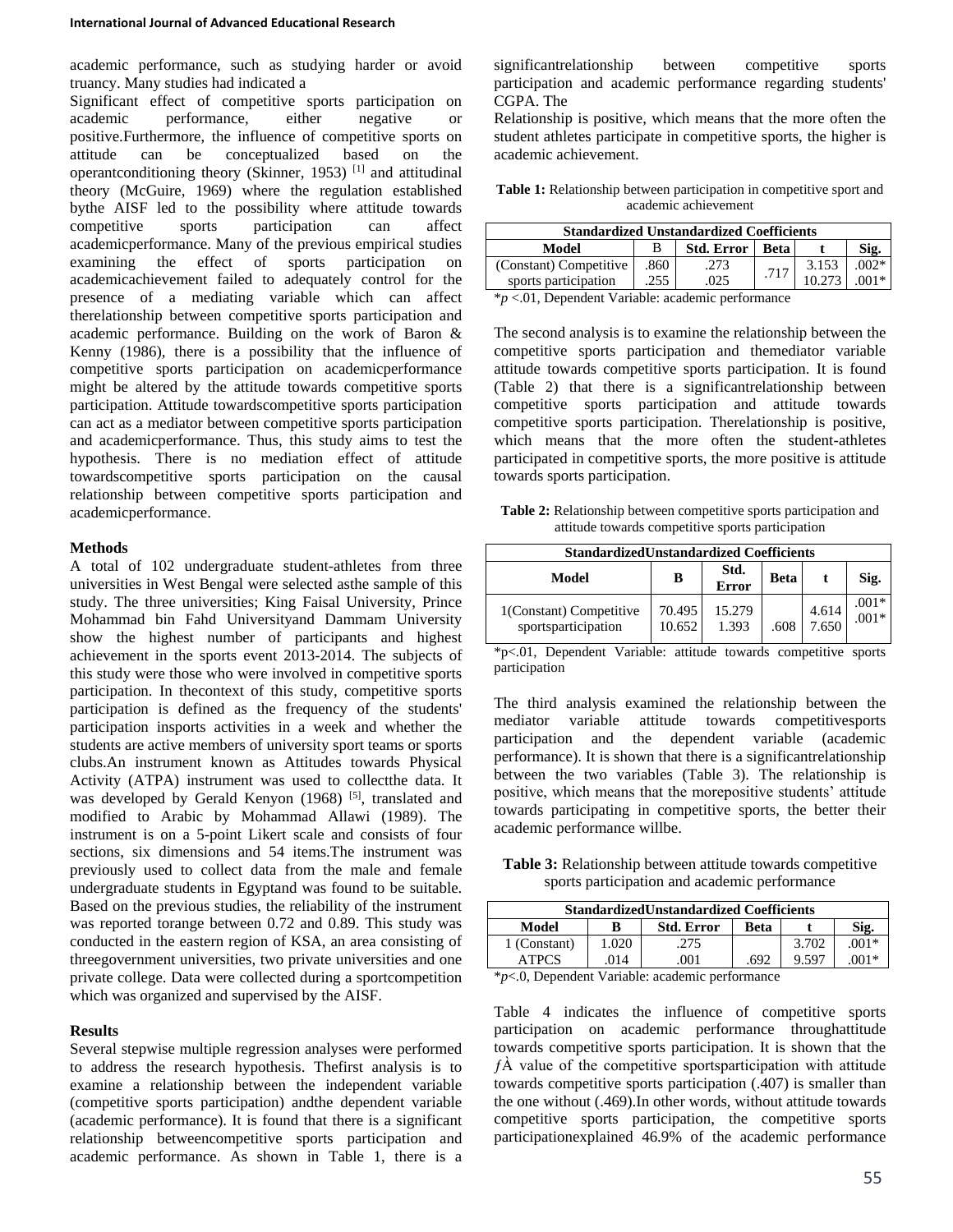academic performance, such as studying harder or avoid truancy. Many studies had indicated a

Significant effect of competitive sports participation on academic performance, either negative or positive.Furthermore, the influence of competitive sports on attitude can be conceptualized based on the operantconditioning theory (Skinner, 1953) [1] and attitudinal theory (McGuire, 1969) where the regulation established bythe AISF led to the possibility where attitude towards competitive sports participation can affect academicperformance. Many of the previous empirical studies examining the effect of sports participation on academicachievement failed to adequately control for the presence of a mediating variable which can affect therelationship between competitive sports participation and academic performance. Building on the work of Baron & Kenny (1986), there is a possibility that the influence of competitive sports participation on academicperformance might be altered by the attitude towards competitive sports participation. Attitude towardscompetitive sports participation can act as a mediator between competitive sports participation and academicperformance. Thus, this study aims to test the hypothesis. There is no mediation effect of attitude towardscompetitive sports participation on the causal relationship between competitive sports participation and academicperformance.

#### **Methods**

A total of 102 undergraduate student-athletes from three universities in West Bengal were selected asthe sample of this study. The three universities; King Faisal University, Prince Mohammad bin Fahd Universityand Dammam University show the highest number of participants and highest achievement in the sports event 2013-2014. The subjects of this study were those who were involved in competitive sports participation. In thecontext of this study, competitive sports participation is defined as the frequency of the students' participation insports activities in a week and whether the students are active members of university sport teams or sports clubs.An instrument known as Attitudes towards Physical Activity (ATPA) instrument was used to collectthe data. It was developed by Gerald Kenyon (1968) [5], translated and modified to Arabic by Mohammad Allawi (1989). The instrument is on a 5-point Likert scale and consists of four sections, six dimensions and 54 items.The instrument was previously used to collect data from the male and female undergraduate students in Egyptand was found to be suitable. Based on the previous studies, the reliability of the instrument was reported torange between 0.72 and 0.89. This study was conducted in the eastern region of KSA, an area consisting of threegovernment universities, two private universities and one private college. Data were collected during a sportcompetition which was organized and supervised by the AISF.

#### **Results**

Several stepwise multiple regression analyses were performed to address the research hypothesis. Thefirst analysis is to examine a relationship between the independent variable (competitive sports participation) andthe dependent variable (academic performance). It is found that there is a significant relationship betweencompetitive sports participation and academic performance. As shown in Table 1, there is a

significantrelationship between competitive sports participation and academic performance regarding students' CGPA. The

Relationship is positive, which means that the more often the student athletes participate in competitive sports, the higher is academic achievement.

**Table 1:** Relationship between participation in competitive sport and academic achievement

| <b>Standardized Unstandardized Coefficients</b> |      |            |          |       |        |  |
|-------------------------------------------------|------|------------|----------|-------|--------|--|
| Model                                           | B    | Std. Error | - Beta l |       |        |  |
| (Constant) Competitive                          | .860 | .273       | .717     | 3.153 | $002*$ |  |
| sports participation                            | 255  | .025       |          |       |        |  |

\**p* <.01, Dependent Variable: academic performance

The second analysis is to examine the relationship between the competitive sports participation and themediator variable attitude towards competitive sports participation. It is found (Table 2) that there is a significantrelationship between competitive sports participation and attitude towards competitive sports participation. Therelationship is positive, which means that the more often the student-athletes participated in competitive sports, the more positive is attitude towards sports participation.

**Table 2:** Relationship between competitive sports participation and attitude towards competitive sports participation

| <b>StandardizedUnstandardized Coefficients</b> |                  |                 |      |                |                    |  |
|------------------------------------------------|------------------|-----------------|------|----------------|--------------------|--|
| Model                                          | в                | Std.<br>Error   | Beta |                | Sig.               |  |
| 1(Constant) Competitive<br>sportsparticipation | 70.495<br>10.652 | 15.279<br>1.393 | .608 | 4.614<br>7.650 | $.001*$<br>$.001*$ |  |

\*p<.01, Dependent Variable: attitude towards competitive sports participation

The third analysis examined the relationship between the mediator variable attitude towards competitivesports participation and the dependent variable (academic performance). It is shown that there is a significantrelationship between the two variables (Table 3). The relationship is positive, which means that the morepositive students' attitude towards participating in competitive sports, the better their academic performance willbe.

**Table 3:** Relationship between attitude towards competitive sports participation and academic performance

| <b>StandardizedUnstandardized Coefficients</b> |       |                   |      |       |         |  |
|------------------------------------------------|-------|-------------------|------|-------|---------|--|
| Model                                          | B     | <b>Std. Error</b> | Beta |       | Sig.    |  |
| 1 (Constant)                                   | 1.020 | .275              |      | 3.702 | $.001*$ |  |
| ATPCS                                          | .014  | .001              | .692 | 9.597 | $001*$  |  |

\**p*<.0, Dependent Variable: academic performance

Table 4 indicates the influence of competitive sports participation on academic performance throughattitude towards competitive sports participation. It is shown that the  $f\hat{A}$  value of the competitive sportsparticipation with attitude towards competitive sports participation (.407) is smaller than the one without (.469).In other words, without attitude towards competitive sports participation, the competitive sports participationexplained 46.9% of the academic performance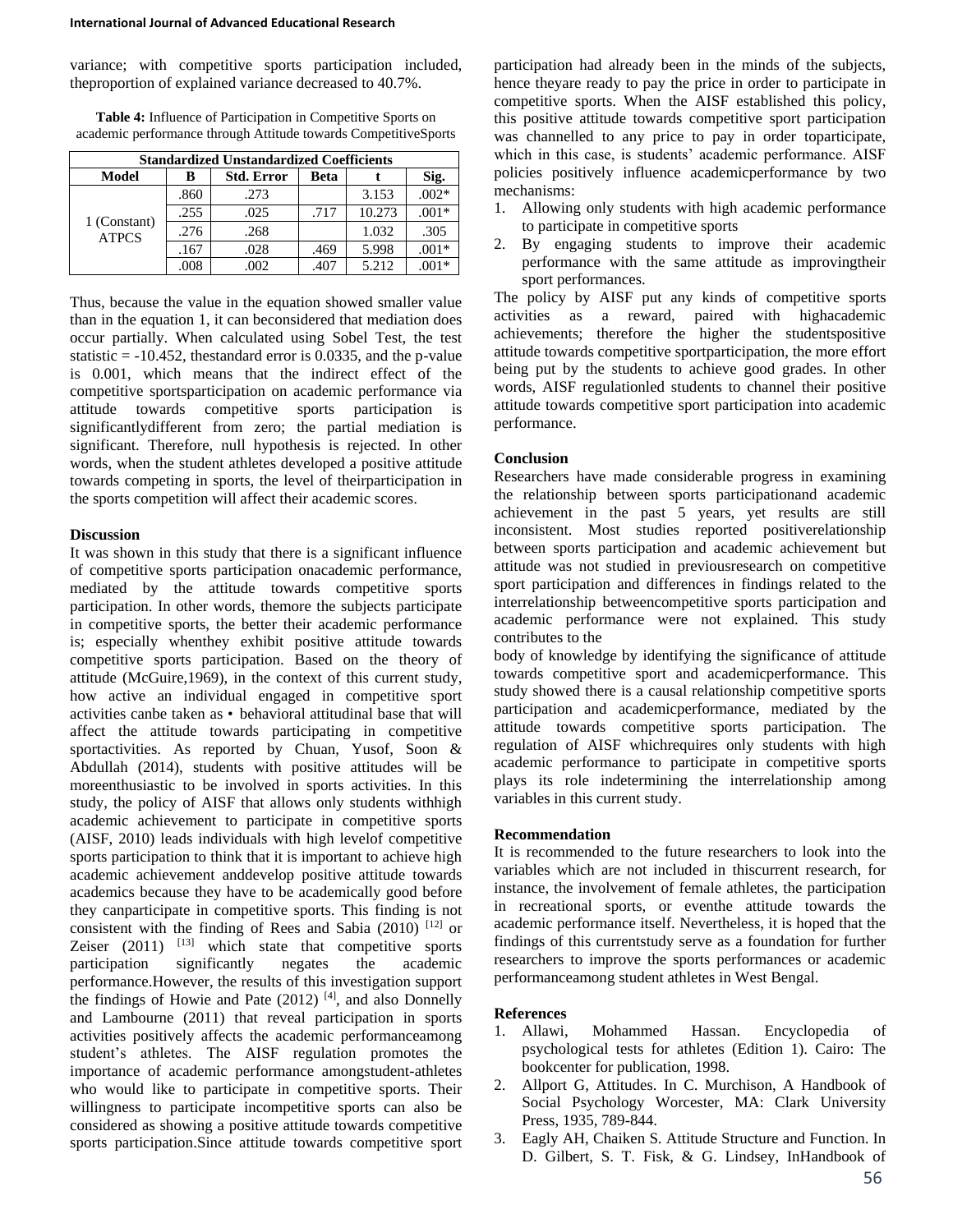variance; with competitive sports participation included, theproportion of explained variance decreased to 40.7%.

**Table 4:** Influence of Participation in Competitive Sports on academic performance through Attitude towards CompetitiveSports

| <b>Standardized Unstandardized Coefficients</b> |      |                   |      |        |         |  |
|-------------------------------------------------|------|-------------------|------|--------|---------|--|
| Model                                           | B    | <b>Std. Error</b> | Beta |        | Sig.    |  |
| 1 (Constant)<br><b>ATPCS</b>                    | .860 | .273              |      | 3.153  | $.002*$ |  |
|                                                 | .255 | .025              | .717 | 10.273 | $.001*$ |  |
|                                                 | .276 | .268              |      | 1.032  | .305    |  |
|                                                 | .167 | .028              | .469 | 5.998  | $.001*$ |  |
|                                                 | .008 | .002              | .407 | 5.212  |         |  |

Thus, because the value in the equation showed smaller value than in the equation 1, it can beconsidered that mediation does occur partially. When calculated using Sobel Test, the test statistic  $= -10.452$ , thestandard error is 0.0335, and the p-value is 0.001, which means that the indirect effect of the competitive sportsparticipation on academic performance via attitude towards competitive sports participation is significantlydifferent from zero; the partial mediation is significant. Therefore, null hypothesis is rejected. In other words, when the student athletes developed a positive attitude towards competing in sports, the level of theirparticipation in the sports competition will affect their academic scores.

#### **Discussion**

It was shown in this study that there is a significant influence of competitive sports participation onacademic performance, mediated by the attitude towards competitive sports participation. In other words, themore the subjects participate in competitive sports, the better their academic performance is; especially whenthey exhibit positive attitude towards competitive sports participation. Based on the theory of attitude (McGuire,1969), in the context of this current study, how active an individual engaged in competitive sport activities canbe taken as •behavioral attitudinal base that will affect the attitude towards participating in competitive sportactivities. As reported by Chuan, Yusof, Soon & Abdullah (2014), students with positive attitudes will be moreenthusiastic to be involved in sports activities. In this study, the policy of AISF that allows only students withhigh academic achievement to participate in competitive sports (AISF, 2010) leads individuals with high levelof competitive sports participation to think that it is important to achieve high academic achievement anddevelop positive attitude towards academics because they have to be academically good before they canparticipate in competitive sports. This finding is not consistent with the finding of Rees and Sabia  $(2010)$ <sup>[12]</sup> or Zeiser  $(2011)$  <sup>[13]</sup> which state that competitive sports participation significantly negates the academic performance.However, the results of this investigation support the findings of Howie and Pate  $(2012)$  [4], and also Donnelly and Lambourne (2011) that reveal participation in sports activities positively affects the academic performanceamong student's athletes. The AISF regulation promotes the importance of academic performance amongstudent-athletes who would like to participate in competitive sports. Their willingness to participate incompetitive sports can also be considered as showing a positive attitude towards competitive sports participation.Since attitude towards competitive sport

participation had already been in the minds of the subjects, hence theyare ready to pay the price in order to participate in competitive sports. When the AISF established this policy, this positive attitude towards competitive sport participation was channelled to any price to pay in order toparticipate, which in this case, is students' academic performance. AISF policies positively influence academicperformance by two mechanisms:

- 1. Allowing only students with high academic performance to participate in competitive sports
- 2. By engaging students to improve their academic performance with the same attitude as improvingtheir sport performances.

The policy by AISF put any kinds of competitive sports activities as a reward, paired with highacademic achievements; therefore the higher the studentspositive attitude towards competitive sportparticipation, the more effort being put by the students to achieve good grades. In other words, AISF regulationled students to channel their positive attitude towards competitive sport participation into academic performance.

### **Conclusion**

Researchers have made considerable progress in examining the relationship between sports participationand academic achievement in the past 5 years, yet results are still inconsistent. Most studies reported positiverelationship between sports participation and academic achievement but attitude was not studied in previousresearch on competitive sport participation and differences in findings related to the interrelationship betweencompetitive sports participation and academic performance were not explained. This study contributes to the

body of knowledge by identifying the significance of attitude towards competitive sport and academicperformance. This study showed there is a causal relationship competitive sports participation and academicperformance, mediated by the attitude towards competitive sports participation. The regulation of AISF whichrequires only students with high academic performance to participate in competitive sports plays its role indetermining the interrelationship among variables in this current study.

#### **Recommendation**

It is recommended to the future researchers to look into the variables which are not included in thiscurrent research, for instance, the involvement of female athletes, the participation in recreational sports, or eventhe attitude towards the academic performance itself. Nevertheless, it is hoped that the findings of this currentstudy serve as a foundation for further researchers to improve the sports performances or academic performanceamong student athletes in West Bengal.

## **References**

- 1. Allawi, Mohammed Hassan. Encyclopedia of psychological tests for athletes (Edition 1). Cairo: The bookcenter for publication, 1998.
- 2. Allport G, Attitudes. In C. Murchison, A Handbook of Social Psychology Worcester, MA: Clark University Press, 1935, 789-844.
- 3. Eagly AH, Chaiken S. Attitude Structure and Function. In D. Gilbert, S. T. Fisk, & G. Lindsey, InHandbook of